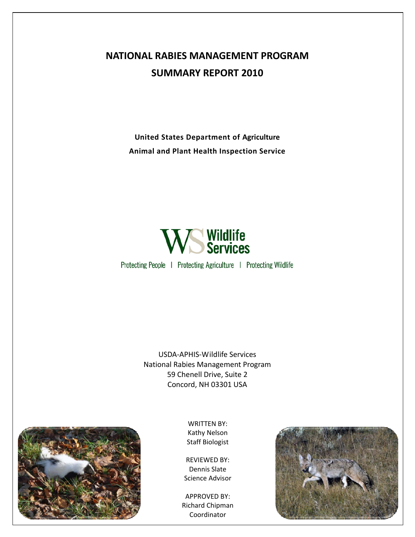## **NATIONAL RABIES MANAGEMENT PROGRAM SUMMARY REPORT 2010**

**United States Department of Agriculture Animal and Plant Health Inspection Service**



Protecting People | Protecting Agriculture | Protecting Wildlife

USDA‐APHIS‐Wildlife Services National Rabies Management Program 59 Chenell Drive, Suite 2 Concord, NH 03301 USA



WRITTEN BY: Kathy Nelson Staff Biologist

REVIEWED BY: Dennis Slate Science Advisor

APPROVED BY: Richard Chipman Coordinator

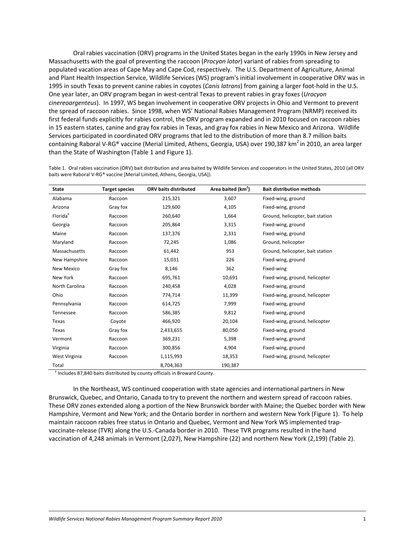Oral rabies vaccination (ORV) programs in the United States began in the early 1990s in New Jersey and Massachusetts with the goal of preventing the raccoon (*Procyon lotor*) variant of rabies from spreading to populated vacation areas of Cape May and Cape Cod, respectively. The U.S. Department of Agriculture, Animal and Plant Health Inspection Service, Wildlife Services (WS) program's initial involvement in cooperative ORV was in 1995 in south Texas to prevent canine rabies in coyotes (*Canis latrans*) from gaining a larger foot‐hold in the U.S. One year later, an ORV program began in west‐central Texas to prevent rabies in gray foxes (*Urocyon cinereoargenteus*). In 1997, WS began involvement in cooperative ORV projects in Ohio and Vermont to prevent the spread of raccoon rabies. Since 1998, when WS' National Rabies Management Program (NRMP) received its first federal funds explicitly for rabies control, the ORV program expanded and in 2010 focused on raccoon rabies in 15 eastern states, canine and gray fox rabies in Texas, and gray fox rabies in New Mexico and Arizona. Wildlife Services participated in coordinated ORV programs that led to the distribution of more than 8.7 million baits containing Raboral V-RG® vaccine (Merial Limited, Athens, Georgia, USA) over 190,387 km<sup>2</sup> in 2010, an area larger than the State of Washington (Table 1 and Figure 1).

| <b>State</b>         | <b>Target species</b> | ORV baits distributed | Area baited (km <sup>2</sup> ) | <b>Bait distribution methods</b> |
|----------------------|-----------------------|-----------------------|--------------------------------|----------------------------------|
| Alabama              | Raccoon               | 215,321               | 3,607                          | Fixed-wing, ground               |
| Arizona              | Gray fox              | 129,600               | 4,105                          | Fixed-wing, ground               |
| Florida <sup>ª</sup> | Raccoon               | 260,640               | 1,664                          | Ground, helicopter, bait station |
| Georgia              | Raccoon               | 205,864               | 3,315                          | Fixed-wing, ground               |
| Maine                | Raccoon               | 137,376               | 2,331                          | Fixed-wing, ground               |
| Maryland             | Raccoon               | 72,245                | 1,086                          | Ground, helicopter               |
| Massachusetts        | Raccoon               | 61,442                | 953                            | Ground, helicopter, bait station |
| New Hampshire        | Raccoon               | 15,031                | 226                            | Fixed-wing, ground               |
| New Mexico           | Gray fox              | 8,146                 | 362                            | Fixed-wing                       |
| New York             | Raccoon               | 695,761               | 10,691                         | Fixed-wing, ground, helicopter   |
| North Carolina       | Raccoon               | 240,458               | 4,028                          | Fixed-wing, ground               |
| Ohio                 | Raccoon               | 774,714               | 11,399                         | Fixed-wing, ground, helicopter   |
| Pennsylvania         | Raccoon               | 614,725               | 7,999                          | Fixed-wing, ground               |
| Tennessee            | Raccoon               | 586,385               | 9,812                          | Fixed-wing, ground               |
| Texas                | Coyote                | 466,920               | 20,104                         | Fixed-wing, ground, helicopter   |
| Texas                | Gray fox              | 2,433,655             | 80,050                         | Fixed-wing, ground               |
| Vermont              | Raccoon               | 369,231               | 5,398                          | Fixed-wing, ground               |
| Virginia             | Raccoon               | 300,856               | 4,904                          | Fixed-wing, ground               |
| West Virginia        | Raccoon               | 1,115,993             | 18,353                         | Fixed-wing, ground, helicopter   |
| Total                |                       | 8,704,363             | 190,387                        |                                  |

Table 1. Oral rabies vaccination (ORV) bait distribution and area baited by Wildlife Services and cooperators in the United States, 2010 (all ORV baits were Raboral V‐RG® vaccine [Merial Limited, Athens, Georgia, USA]).

Includes 87,840 baits distributed by county officials in Broward County.

In the Northeast, WS continued cooperation with state agencies and international partners in New Brunswick, Quebec, and Ontario, Canada to try to prevent the northern and western spread of raccoon rabies. These ORV zones extended along a portion of the New Brunswick border with Maine; the Quebec border with New Hampshire, Vermont and New York; and the Ontario border in northern and western New York (Figure 1). To help maintain raccoon rabies free status in Ontario and Quebec, Vermont and New York WS implemented trap‐ vaccinate‐release (TVR) along the U.S.‐Canada border in 2010. These TVR programs resulted in the hand vaccination of 4,248 animals in Vermont (2,027), New Hampshire (22) and northern New York (2,199) (Table 2).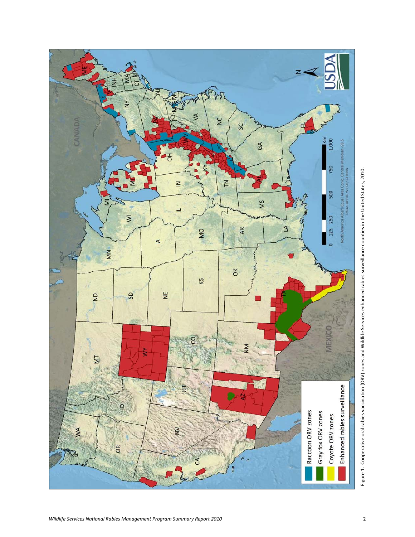

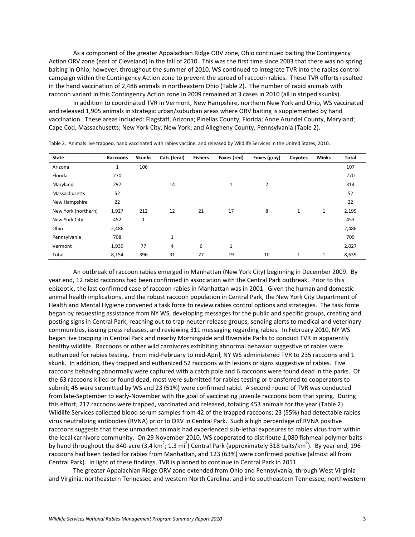As a component of the greater Appalachian Ridge ORV zone, Ohio continued baiting the Contingency Action ORV zone (east of Cleveland) in the fall of 2010. This was the first time since 2003 that there was no spring baiting in Ohio; however, throughout the summer of 2010, WS continued to integrate TVR into the rabies control campaign within the Contingency Action zone to prevent the spread of raccoon rabies. These TVR efforts resulted in the hand vaccination of 2,486 animals in northeastern Ohio (Table 2). The number of rabid animals with raccoon variant in this Contingency Action zone in 2009 remained at 3 cases in 2010 (all in striped skunks).

In addition to coordinated TVR in Vermont, New Hampshire, northern New York and Ohio, WS vaccinated and released 1,905 animals in strategic urban/suburban areas where ORV baiting is supplemented by hand vaccination. These areas included: Flagstaff, Arizona; Pinellas County, Florida; Anne Arundel County, Maryland; Cape Cod, Massachusetts; New York City, New York; and Allegheny County, Pennsylvania (Table 2).

| <b>State</b>        | Raccoons     | <b>Skunks</b> | Cats (feral) | <b>Fishers</b> | Foxes (red)  | Foxes (gray) | Coyotes      | <b>Minks</b> | Total |
|---------------------|--------------|---------------|--------------|----------------|--------------|--------------|--------------|--------------|-------|
| Arizona             | $\mathbf{1}$ | 106           |              |                |              |              |              |              | 107   |
| Florida             | 270          |               |              |                |              |              |              |              | 270   |
| Maryland            | 297          |               | 14           |                | $\mathbf{1}$ | 2            |              |              | 314   |
| Massachusetts       | 52           |               |              |                |              |              |              |              | 52    |
| New Hampshire       | 22           |               |              |                |              |              |              |              | 22    |
| New York (northern) | 1,927        | 212           | 12           | 21             | 17           | 8            | $\mathbf{1}$ | $\mathbf{1}$ | 2,199 |
| New York City       | 452          | $\mathbf 1$   |              |                |              |              |              |              | 453   |
| Ohio                | 2,486        |               |              |                |              |              |              |              | 2,486 |
| Pennsylvania        | 708          |               | $\mathbf{1}$ |                |              |              |              |              | 709   |
| Vermont             | 1,939        | 77            | 4            | 6              | $\mathbf{1}$ |              |              |              | 2,027 |
| Total               | 8,154        | 396           | 31           | 27             | 19           | 10           | $\mathbf{1}$ | 1            | 8,639 |

Table 2. Animals live trapped, hand vaccinated with rabies vaccine, and released by Wildlife Services in the United States, 2010.

An outbreak of raccoon rabies emerged in Manhattan (New York City) beginning in December 2009. By year end, 12 rabid raccoons had been confirmed in association with the Central Park outbreak. Prior to this epizootic, the last confirmed case of raccoon rabies in Manhattan was in 2001. Given the human and domestic animal health implications, and the robust raccoon population in Central Park, the New York City Department of Health and Mental Hygiene convened a task force to review rabies control options and strategies. The task force began by requesting assistance from NY WS, developing messages for the public and specific groups, creating and posting signs in Central Park, reaching out to trap‐neuter‐release groups, sending alerts to medical and veterinary communities, issuing press releases, and reviewing 311 messaging regarding rabies. In February 2010, NY WS began live trapping in Central Park and nearby Morningside and Riverside Parks to conduct TVR in apparently healthy wildlife. Raccoons or other wild carnivores exhibiting abnormal behavior suggestive of rabies were euthanized for rabies testing. From mid-February to mid-April, NY WS administered TVR to 235 raccoons and 1 skunk. In addition, they trapped and euthanized 52 raccoons with lesions or signs suggestive of rabies. Five raccoons behaving abnormally were captured with a catch pole and 6 raccoons were found dead in the parks. Of the 63 raccoons killed or found dead, most were submitted for rabies testing or transferred to cooperators to submit; 45 were submitted by WS and 23 (51%) were confirmed rabid. A second round of TVR was conducted from late‐September to early‐November with the goal of vaccinating juvenile raccoons born that spring. During this effort, 217 raccoons were trapped, vaccinated and released, totaling 453 animals for the year (Table 2). Wildlife Services collected blood serum samples from 42 of the trapped raccoons; 23 (55%) had detectable rabies virus neutralizing antibodies (RVNA) prior to ORV in Central Park. Such a high percentage of RVNA positive raccoons suggests that these unmarked animals had experienced sub-lethal exposures to rabies virus from within the local carnivore community. On 29 November 2010, WS cooperated to distribute 1,080 fishmeal polymer baits by hand throughout the 840-acre (3.4 km<sup>2</sup>; 1.3 mi<sup>2</sup>) Central Park (approximately 318 baits/km<sup>2</sup>). By year end, 196 raccoons had been tested for rabies from Manhattan, and 123 (63%) were confirmed positive (almost all from Central Park). In light of these findings, TVR is planned to continue in Central Park in 2011.

The greater Appalachian Ridge ORV zone extended from Ohio and Pennsylvania, through West Virginia and Virginia, northeastern Tennessee and western North Carolina, and into southeastern Tennessee, northwestern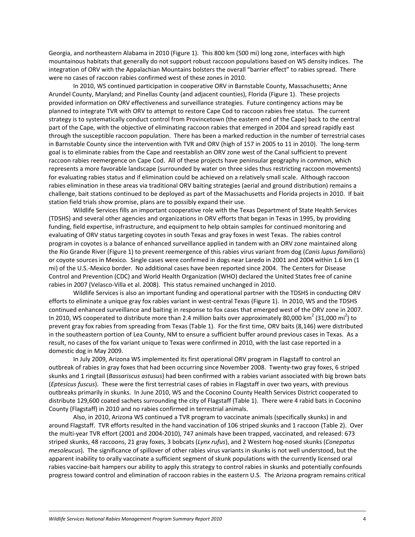Georgia, and northeastern Alabama in 2010 (Figure 1). This 800 km (500 mi) long zone, interfaces with high mountainous habitats that generally do not support robust raccoon populations based on WS density indices. The integration of ORV with the Appalachian Mountains bolsters the overall "barrier effect" to rabies spread. There were no cases of raccoon rabies confirmed west of these zones in 2010.

In 2010, WS continued participation in cooperative ORV in Barnstable County, Massachusetts; Anne Arundel County, Maryland; and Pinellas County (and adjacent counties), Florida (Figure 1). These projects provided information on ORV effectiveness and surveillance strategies. Future contingency actions may be planned to integrate TVR with ORV to attempt to restore Cape Cod to raccoon rabies free status. The current strategy is to systematically conduct control from Provincetown (the eastern end of the Cape) back to the central part of the Cape, with the objective of eliminating raccoon rabies that emerged in 2004 and spread rapidly east through the susceptible raccoon population. There has been a marked reduction in the number of terrestrial cases in Barnstable County since the intervention with TVR and ORV (high of 157 in 2005 to 11 in 2010). The long‐term goal is to eliminate rabies from the Cape and reestablish an ORV zone west of the Canal sufficient to prevent raccoon rabies reemergence on Cape Cod. All of these projects have peninsular geography in common, which represents a more favorable landscape (surrounded by water on three sides thus restricting raccoon movements) for evaluating rabies status and if elimination could be achieved on a relatively small scale. Although raccoon rabies elimination in these areas via traditional ORV baiting strategies (aerial and ground distribution) remains a challenge, bait stations continued to be deployed as part of the Massachusetts and Florida projects in 2010. If bait station field trials show promise, plans are to possibly expand their use.

Wildlife Services fills an important cooperative role with the Texas Department of State Health Services (TDSHS) and several other agencies and organizations in ORV efforts that began in Texas in 1995, by providing funding, field expertise, infrastructure, and equipment to help obtain samples for continued monitoring and evaluating of ORV status targeting coyotes in south Texas and gray foxes in west Texas. The rabies control program in coyotes is a balance of enhanced surveillance applied in tandem with an ORV zone maintained along the Rio Grande River (Figure 1) to prevent reemergence of this rabies virus variant from dog (*Canis lupus familiaris*) or coyote sources in Mexico. Single cases were confirmed in dogs near Laredo in 2001 and 2004 within 1.6 km (1 mi) of the U.S.‐Mexico border. No additional cases have been reported since 2004. The Centers for Disease Control and Prevention (CDC) and World Health Organization (WHO) declared the United States free of canine rabies in 2007 (Velasco‐Villa et al. 2008). This status remained unchanged in 2010.

Wildlife Services is also an important funding and operational partner with the TDSHS in conducting ORV efforts to eliminate a unique gray fox rabies variant in west-central Texas (Figure 1). In 2010, WS and the TDSHS continued enhanced surveillance and baiting in response to fox cases that emerged west of the ORV zone in 2007. In 2010, WS cooperated to distribute more than 2.4 million baits over approximately 80,000 km<sup>2</sup> (31,000 mi<sup>2</sup>) to prevent gray fox rabies from spreading from Texas (Table 1). For the first time, ORV baits (8,146) were distributed in the southeastern portion of Lea County, NM to ensure a sufficient buffer around previous cases in Texas. As a result, no cases of the fox variant unique to Texas were confirmed in 2010, with the last case reported in a domestic dog in May 2009.

In July 2009, Arizona WS implemented its first operational ORV program in Flagstaff to control an outbreak of rabies in gray foxes that had been occurring since November 2008. Twenty-two gray foxes, 6 striped skunks and 1 ringtail (*Bassariscus astusus*) had been confirmed with a rabies variant associated with big brown bats (*Eptesicus fuscus*). These were the first terrestrial cases of rabies in Flagstaff in over two years, with previous outbreaks primarily in skunks. In June 2010, WS and the Coconino County Health Services District cooperated to distribute 129,600 coated sachets surrounding the city of Flagstaff (Table 1). There were 4 rabid bats in Coconino County (Flagstaff) in 2010 and no rabies confirmed in terrestrial animals.

Also, in 2010, Arizona WS continued a TVR program to vaccinate animals (specifically skunks) in and around Flagstaff. TVR efforts resulted in the hand vaccination of 106 striped skunks and 1 raccoon (Table 2). Over the multi‐year TVR effort (2001 and 2004‐2010), 747 animals have been trapped, vaccinated, and released: 673 striped skunks, 48 raccoons, 21 gray foxes, 3 bobcats (*Lynx rufus*), and 2 Western hog‐nosed skunks (*Conepatus mesoleucus*). The significance of spillover of other rabies virus variants in skunks is not well understood, but the apparent inability to orally vaccinate a sufficient segment of skunk populations with the currently licensed oral rabies vaccine-bait hampers our ability to apply this strategy to control rabies in skunks and potentially confounds progress toward control and elimination of raccoon rabies in the eastern U.S. The Arizona program remains critical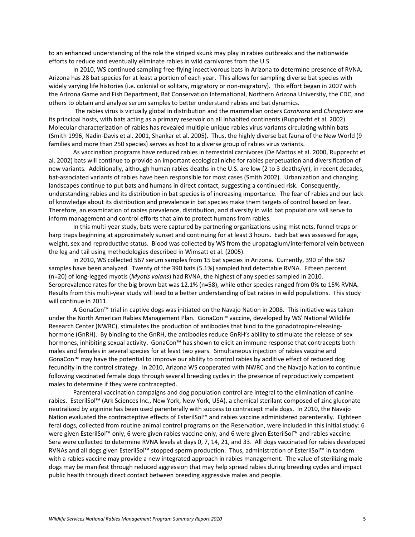to an enhanced understanding of the role the striped skunk may play in rabies outbreaks and the nationwide efforts to reduce and eventually eliminate rabies in wild carnivores from the U.S.

In 2010, WS continued sampling free‐flying insectivorous bats in Arizona to determine presence of RVNA. Arizona has 28 bat species for at least a portion of each year. This allows for sampling diverse bat species with widely varying life histories (i.e. colonial or solitary, migratory or non-migratory). This effort began in 2007 with the Arizona Game and Fish Department, Bat Conservation International, Northern Arizona University, the CDC, and others to obtain and analyze serum samples to better understand rabies and bat dynamics.

The rabies virus is virtually global in distribution and the mammalian orders *Carnivora* and *Chiroptera* are its principal hosts, with bats acting as a primary reservoir on all inhabited continents (Rupprecht et al. 2002). Molecular characterization of rabies has revealed multiple unique rabies virus variants circulating within bats (Smith 1996, Nadin‐Davis et al. 2001, Shankar et al. 2005). Thus, the highly diverse bat fauna of the New World (9 families and more than 250 species) serves as host to a diverse group of rabies virus variants.

As vaccination programs have reduced rabies in terrestrial carnivores (De Mattos et al. 2000, Rupprecht et al. 2002) bats will continue to provide an important ecological niche for rabies perpetuation and diversification of new variants. Additionally, although human rabies deaths in the U.S. are low (2 to 3 deaths/yr), in recent decades, bat‐associated variants of rabies have been responsible for most cases (Smith 2002). Urbanization and changing landscapes continue to put bats and humans in direct contact, suggesting a continued risk. Consequently, understanding rabies and its distribution in bat species is of increasing importance. The fear of rabies and our lack of knowledge about its distribution and prevalence in bat species make them targets of control based on fear. Therefore, an examination of rabies prevalence, distribution, and diversity in wild bat populations will serve to inform management and control efforts that aim to protect humans from rabies.

In this multi-year study, bats were captured by partnering organizations using mist nets, funnel traps or harp traps beginning at approximately sunset and continuing for at least 3 hours. Each bat was assessed for age, weight, sex and reproductive status. Blood was collected by WS from the uropatagium/interfemoral vein between the leg and tail using methodologies described in Wimsatt et al. (2005).

In 2010, WS collected 567 serum samples from 15 bat species in Arizona. Currently, 390 of the 567 samples have been analyzed. Twenty of the 390 bats (5.1%) sampled had detectable RVNA. Fifteen percent (n=20) of long‐legged myotis (*Myotis volans*) had RVNA, the highest of any species sampled in 2010. Seroprevalence rates for the big brown bat was 12.1% (n=58), while other species ranged from 0% to 15% RVNA. Results from this multi-year study will lead to a better understanding of bat rabies in wild populations. This study will continue in 2011.

A GonaCon™ trial in captive dogs was initiated on the Navajo Nation in 2008. This initiative was taken under the North American Rabies Management Plan. GonaCon™ vaccine, developed by WS' National Wildlife Research Center (NWRC), stimulates the production of antibodies that bind to the gonadotropin‐releasing‐ hormone (GnRH). By binding to the GnRH, the antibodies reduce GnRH's ability to stimulate the release of sex hormones, inhibiting sexual activity**.** GonaCon™ has shown to elicit an immune response that contracepts both males and females in several species for at least two years. Simultaneous injection of rabies vaccine and GonaCon™ may have the potential to improve our ability to control rabies by additive effect of reduced dog fecundity in the control strategy. In 2010, Arizona WS cooperated with NWRC and the Navajo Nation to continue following vaccinated female dogs through several breeding cycles in the presence of reproductively competent males to determine if they were contracepted.

Parenteral vaccination campaigns and dog population control are integral to the elimination of canine rabies. EsterilSol™ (Ark Sciences Inc., New York, New York, USA), a chemical sterilant composed of zinc gluconate neutralized by arginine has been used parenterally with success to contracept male dogs. In 2010, the Navajo Nation evaluated the contracteptive effects of EsterilSol™ and rabies vaccine administered parenterally. Eighteen feral dogs, collected from routine animal control programs on the Reservation, were included in this initial study: 6 were given EsterilSol™ only, 6 were given rabies vaccine only, and 6 were given EsterilSol™ and rabies vaccine. Sera were collected to determine RVNA levels at days 0, 7, 14, 21, and 33. All dogs vaccinated for rabies developed RVNAs and all dogs given EsterilSol™ stopped sperm production. Thus, administration of EsterilSol™ in tandem with a rabies vaccine may provide a new integrated approach in rabies management. The value of sterilizing male dogs may be manifest through reduced aggression that may help spread rabies during breeding cycles and impact public health through direct contact between breeding aggressive males and people.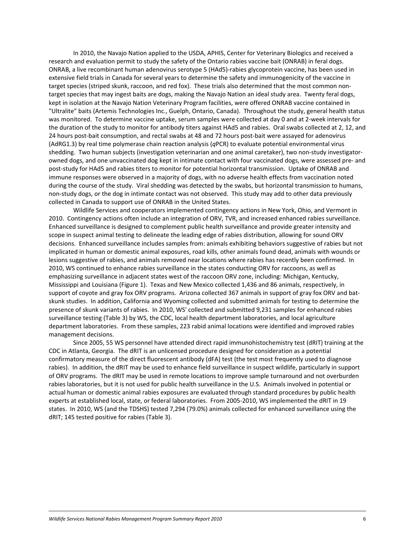In 2010, the Navajo Nation applied to the USDA, APHIS, Center for Veterinary Biologics and received a research and evaluation permit to study the safety of the Ontario rabies vaccine bait (ONRAB) in feral dogs. ONRAB, a live recombinant human adenovirus serotype 5 (HAd5)‐rabies glycoprotein vaccine, has been used in extensive field trials in Canada for several years to determine the safety and immunogenicity of the vaccine in target species (striped skunk, raccoon, and red fox). These trials also determined that the most common non‐ target species that may ingest baits are dogs, making the Navajo Nation an ideal study area. Twenty feral dogs, kept in isolation at the Navajo Nation Veterinary Program facilities, were offered ONRAB vaccine contained in "Ultralite" baits (Artemis Technologies Inc., Guelph, Ontario, Canada). Throughout the study, general health status was monitored. To determine vaccine uptake, serum samples were collected at day 0 and at 2‐week intervals for the duration of the study to monitor for antibody titers against HAd5 and rabies. Oral swabs collected at 2, 12, and 24 hours post‐bait consumption, and rectal swabs at 48 and 72 hours post‐bait were assayed for adenovirus (AdRG1.3) by real time polymerase chain reaction analysis (*q*PCR) to evaluate potential environmental virus shedding. Two human subjects (investigation veterinarian and one animal caretaker), two non-study investigatorowned dogs, and one unvaccinated dog kept in intimate contact with four vaccinated dogs, were assessed pre‐ and post‐study for HAd5 and rabies titers to monitor for potential horizontal transmission. Uptake of ONRAB and immune responses were observed in a majority of dogs, with no adverse health effects from vaccination noted during the course of the study. Viral shedding was detected by the swabs, but horizontal transmission to humans, non‐study dogs, or the dog in intimate contact was not observed. This study may add to other data previously collected in Canada to support use of ONRAB in the United States.

Wildlife Services and cooperators implemented contingency actions in New York, Ohio, and Vermont in 2010. Contingency actions often include an integration of ORV, TVR, and increased enhanced rabies surveillance. Enhanced surveillance is designed to complement public health surveillance and provide greater intensity and scope in suspect animal testing to delineate the leading edge of rabies distribution, allowing for sound ORV decisions. Enhanced surveillance includes samples from: animals exhibiting behaviors suggestive of rabies but not implicated in human or domestic animal exposures, road kills, other animals found dead, animals with wounds or lesions suggestive of rabies, and animals removed near locations where rabies has recently been confirmed. In 2010, WS continued to enhance rabies surveillance in the states conducting ORV for raccoons, as well as emphasizing surveillance in adjacent states west of the raccoon ORV zone, including: Michigan, Kentucky, Mississippi and Louisiana (Figure 1). Texas and New Mexico collected 1,436 and 86 animals, respectively, in support of coyote and gray fox ORV programs. Arizona collected 367 animals in support of gray fox ORV and batskunk studies. In addition, California and Wyoming collected and submitted animals for testing to determine the presence of skunk variants of rabies. In 2010, WS' collected and submitted 9,231 samples for enhanced rabies surveillance testing (Table 3) by WS, the CDC, local health department laboratories, and local agriculture department laboratories. From these samples, 223 rabid animal locations were identified and improved rabies management decisions.

Since 2005, 55 WS personnel have attended direct rapid immunohistochemistry test (dRIT) training at the CDC in Atlanta, Georgia. The dRIT is an unlicensed procedure designed for consideration as a potential confirmatory measure of the direct fluorescent antibody (dFA) test (the test most frequently used to diagnose rabies). In addition, the dRIT may be used to enhance field surveillance in suspect wildlife, particularly in support of ORV programs. The dRIT may be used in remote locations to improve sample turnaround and not overburden rabies laboratories, but it is not used for public health surveillance in the U.S. Animals involved in potential or actual human or domestic animal rabies exposures are evaluated through standard procedures by public health experts at established local, state, or federal laboratories. From 2005‐2010, WS implemented the dRIT in 19 states. In 2010, WS (and the TDSHS) tested 7,294 (79.0%) animals collected for enhanced surveillance using the dRIT; 145 tested positive for rabies (Table 3).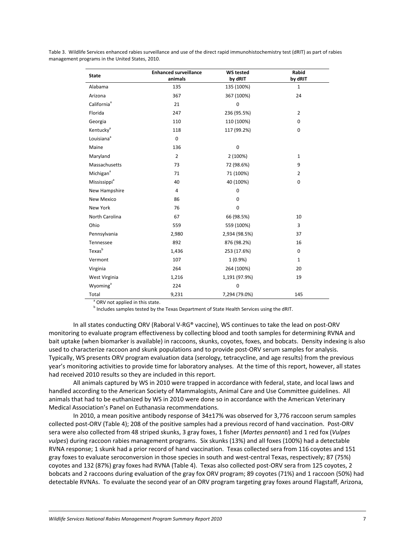| Table 3. Wildlife Services enhanced rabies surveillance and use of the direct rapid immunohistochemistry test (dRIT) as part of rabies |  |
|----------------------------------------------------------------------------------------------------------------------------------------|--|
| management programs in the United States, 2010.                                                                                        |  |

| <b>State</b>             | <b>Enhanced surveillance</b><br>animals | <b>WS tested</b><br>by dRIT | Rabid<br>by dRIT |
|--------------------------|-----------------------------------------|-----------------------------|------------------|
| Alabama                  | 135                                     | 135 (100%)                  | $\mathbf 1$      |
| Arizona                  | 367                                     | 367 (100%)                  | 24               |
| California <sup>ª</sup>  | 21                                      | 0                           |                  |
| Florida                  | 247                                     | 236 (95.5%)                 | $\overline{2}$   |
| Georgia                  | 110                                     | 110 (100%)                  | $\mathbf 0$      |
| Kentucky <sup>a</sup>    | 118                                     | 117 (99.2%)                 | 0                |
| Louisiana <sup>ª</sup>   | $\mathbf 0$                             |                             |                  |
| Maine                    | 136                                     | $\boldsymbol{0}$            |                  |
| Maryland                 | $\overline{2}$                          | 2 (100%)                    | $\mathbf{1}$     |
| Massachusetts            | 73                                      | 72 (98.6%)                  | 9                |
| Michigan <sup>a</sup>    | 71                                      | 71 (100%)                   | $\overline{2}$   |
| Mississippi <sup>a</sup> | 40                                      | 40 (100%)                   | $\mathbf 0$      |
| New Hampshire            | $\overline{4}$                          | $\pmb{0}$                   |                  |
| New Mexico               | 86                                      | 0                           |                  |
| New York                 | 76                                      | $\mathbf 0$                 |                  |
| North Carolina           | 67                                      | 66 (98.5%)                  | 10               |
| Ohio                     | 559                                     | 559 (100%)                  | 3                |
| Pennsylvania             | 2,980                                   | 2,934 (98.5%)               | 37               |
| Tennessee                | 892                                     | 876 (98.2%)                 | 16               |
| Texas <sup>b</sup>       | 1,436                                   | 253 (17.6%)                 | $\mathbf 0$      |
| Vermont                  | 107                                     | 1(0.9%                      | $\mathbf{1}$     |
| Virginia                 | 264                                     | 264 (100%)                  | 20               |
| West Virginia            | 1,216                                   | 1,191 (97.9%)               | 19               |
| Wyoming <sup>a</sup>     | 224                                     | $\mathbf 0$                 |                  |
| Total                    | 9,231                                   | 7,294 (79.0%)               | 145              |

<sup>a</sup> ORV not applied in this state.

**b** Includes samples tested by the Texas Department of State Health Services using the dRIT.

In all states conducting ORV (Raboral V‐RG® vaccine), WS continues to take the lead on post‐ORV monitoring to evaluate program effectiveness by collecting blood and tooth samples for determining RVNA and bait uptake (when biomarker is available) in raccoons, skunks, coyotes, foxes, and bobcats. Density indexing is also used to characterize raccoon and skunk populations and to provide post-ORV serum samples for analysis. Typically, WS presents ORV program evaluation data (serology, tetracycline, and age results) from the previous year's monitoring activities to provide time for laboratory analyses. At the time of this report, however, all states had received 2010 results so they are included in this report.

All animals captured by WS in 2010 were trapped in accordance with federal, state, and local laws and handled according to the American Society of Mammalogists, Animal Care and Use Committee guidelines. All animals that had to be euthanized by WS in 2010 were done so in accordance with the American Veterinary Medical Association's Panel on Euthanasia recommendations.

In 2010, a mean positive antibody response of 34±17% was observed for 3,776 raccoon serum samples collected post‐ORV (Table 4); 208 of the positive samples had a previous record of hand vaccination. Post‐ORV sera were also collected from 48 striped skunks, 3 gray foxes, 1 fisher (*Martes pennanti*) and 1 red fox (*Vulpes vulpes*) during raccoon rabies management programs. Six skunks (13%) and all foxes (100%) had a detectable RVNA response; 1 skunk had a prior record of hand vaccination. Texas collected sera from 116 coyotes and 151 gray foxes to evaluate seroconversion in those species in south and west-central Texas, respectively; 87 (75%) coyotes and 132 (87%) gray foxes had RVNA (Table 4). Texas also collected post‐ORV sera from 125 coyotes, 2 bobcats and 2 raccoons during evaluation of the gray fox ORV program; 89 coyotes (71%) and 1 raccoon (50%) had detectable RVNAs. To evaluate the second year of an ORV program targeting gray foxes around Flagstaff, Arizona,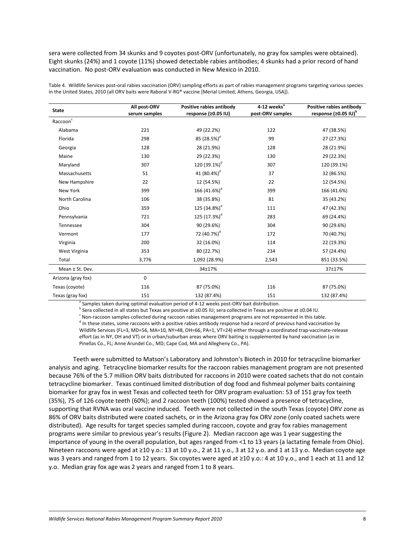sera were collected from 34 skunks and 9 coyotes post‐ORV (unfortunately, no gray fox samples were obtained). Eight skunks (24%) and 1 coyote (11%) showed detectable rabies antibodies; 4 skunks had a prior record of hand vaccination. No post‐ORV evaluation was conducted in New Mexico in 2010.

| <b>State</b>                  | All post-ORV<br>serum samples | Positive rabies antibody<br>response (≥0.05 IU) | 4-12 weeks <sup>a</sup><br>post-ORV samples | Positive rabies antibody<br>response (≥0.05 IU) <sup>b</sup> |  |
|-------------------------------|-------------------------------|-------------------------------------------------|---------------------------------------------|--------------------------------------------------------------|--|
| $\mathsf{Raccoon}^\mathsf{c}$ |                               |                                                 |                                             |                                                              |  |
| Alabama                       | 221                           | 49 (22.2%)                                      | 122                                         | 47 (38.5%)                                                   |  |
| Florida                       | 298                           | 85 (28.5%) <sup>d</sup>                         | 99                                          | 27 (27.3%)                                                   |  |
| Georgia                       | 128                           | 28 (21.9%)                                      | 128                                         | 28 (21.9%)                                                   |  |
| Maine                         | 130                           | 29 (22.3%)                                      | 130                                         | 29 (22.3%)                                                   |  |
| Maryland                      | 307                           | 120 (39.1%) <sup>d</sup>                        | 307                                         | 120 (39.1%)                                                  |  |
| Massachusetts                 | 51                            | 41 (80.4%) <sup>d</sup>                         | 37                                          | 32 (86.5%)                                                   |  |
| New Hampshire                 | 22                            | 12 (54.5%)                                      | 22                                          | 12 (54.5%)                                                   |  |
| New York                      | 399                           | 166 (41.6%) <sup>d</sup>                        | 399                                         | 166 (41.6%)                                                  |  |
| North Carolina                | 106                           | 38 (35.8%)                                      | 81                                          | 35 (43.2%)                                                   |  |
| Ohio                          | 359                           | 125 (34.8%) <sup>d</sup>                        | 111                                         | 47 (42.3%)                                                   |  |
| Pennsylvania                  | 721                           | 125 (17.3%) <sup>d</sup>                        | 283                                         | 69 (24.4%)                                                   |  |
| Tennessee                     | 304                           | 90 (29.6%)                                      | 304                                         | 90 (29.6%)                                                   |  |
| Vermont                       | 177                           | 72 (40.7%) <sup>d</sup>                         | 172                                         | 70 (40.7%)                                                   |  |
| Virginia                      | 200                           | 32 (16.0%)                                      | 114                                         | 22 (19.3%)                                                   |  |
| West Virginia                 | 353                           | 80 (22.7%)                                      | 234                                         | 57 (24.4%)                                                   |  |
| Total                         | 3,776                         | 1,092 (28.9%)                                   | 2,543                                       | 851 (33.5%)                                                  |  |
| Mean ± St. Dev.               |                               | 34±17%                                          |                                             | 37±17%                                                       |  |
| Arizona (gray fox)            | $\mathbf 0$                   |                                                 |                                             |                                                              |  |
| Texas (coyote)                | 116                           | 87 (75.0%)                                      | 116                                         | 87 (75.0%)                                                   |  |
| Texas (gray fox)              | 151                           | 132 (87.4%)                                     | 151                                         | 132 (87.4%)                                                  |  |

Table 4. Wildlife Services post‐oral rabies vaccination (ORV) sampling efforts as part of rabies management programs targeting various species in the United States, 2010 (all ORV baits were Raboral V‐RG® vaccine [Merial Limited, Athens, Georgia, USA]).

Samples taken during optimal evaluation period of 4-12 weeks post-ORV bait distribution.

<sup>b</sup> Sera collected in all states but Texas are positive at ≥0.05 IU; sera collected in Texas are positive at ≥0.04 IU.

<sup>c</sup> Non-raccoon samples collected during raccoon rabies management programs are not represented in this table.  $<sup>d</sup>$  In these states, some raccoons with a positive rabies antibody response had a record of previous hand vaccination by</sup> Wildlife Services (FL=3, MD=56, MA=10, NY=48, OH=66, PA=1, VT=24) either through a coordinated trap-vaccinate-release effort (as in NY, OH and VT) or in urban/suburban areas where ORV baiting is supplemented by hand vaccination (as in Pinellas Co., FL; Anne Arundel Co., MD; Cape Cod, MA and Allegheny Co., PA).

Teeth were submitted to Matson's Laboratory and Johnston's Biotech in 2010 for tetracycline biomarker analysis and aging. Tetracycline biomarker results for the raccoon rabies management program are not presented because 76% of the 5.7 million ORV baits distributed for raccoons in 2010 were coated sachets that do not contain tetracycline biomarker. Texas continued limited distribution of dog food and fishmeal polymer baits containing biomarker for gray fox in west Texas and collected teeth for ORV program evaluation: 53 of 151 gray fox teeth (35%), 75 of 126 coyote teeth (60%); and 2 raccoon teeth (100%) tested showed a presence of tetracycline, supporting that RVNA was oral vaccine induced. Teeth were not collected in the south Texas (coyote) ORV zone as 86% of ORV baits distributed were coated sachets, or in the Arizona gray fox ORV zone (only coated sachets were distributed). Age results for target species sampled during raccoon, coyote and gray fox rabies management programs were similar to previous year's results (Figure 2). Median raccoon age was 1 year suggesting the importance of young in the overall population, but ages ranged from <1 to 13 years (a lactating female from Ohio). Nineteen raccoons were aged at ≥10 y.o.: 13 at 10 y.o., 2 at 11 y.o., 3 at 12 y.o. and 1 at 13 y.o. Median coyote age was 3 years and ranged from 1 to 12 years. Six coyotes were aged at ≥10 y.o.: 4 at 10 y.o., and 1 each at 11 and 12 y.o. Median gray fox age was 2 years and ranged from 1 to 8 years.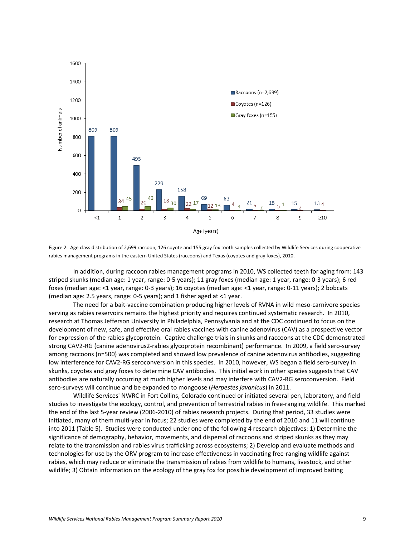

Figure 2. Age class distribution of 2,699 raccoon, 126 coyote and 155 gray fox tooth samples collected by Wildlife Services during cooperative rabies management programs in the eastern United States (raccoons) and Texas (coyotes and gray foxes), 2010.

In addition, during raccoon rabies management programs in 2010, WS collected teeth for aging from: 143 striped skunks (median age: 1 year, range: 0‐5 years); 11 gray foxes (median age: 1 year, range: 0‐3 years); 6 red foxes (median age: <1 year, range: 0‐3 years); 16 coyotes (median age: <1 year, range: 0‐11 years); 2 bobcats (median age: 2.5 years, range: 0‐5 years); and 1 fisher aged at <1 year.

The need for a bait‐vaccine combination producing higher levels of RVNA in wild meso‐carnivore species serving as rabies reservoirs remains the highest priority and requires continued systematic research. In 2010, research at Thomas Jefferson University in Philadelphia, Pennsylvania and at the CDC continued to focus on the development of new, safe, and effective oral rabies vaccines with canine adenovirus (CAV) as a prospective vector for expression of the rabies glycoprotein. Captive challenge trials in skunks and raccoons at the CDC demonstrated strong CAV2‐RG (canine adenovirus2‐rabies glycoprotein recombinant) performance. In 2009, a field sero‐survey among raccoons (n=500) was completed and showed low prevalence of canine adenovirus antibodies, suggesting low interference for CAV2‐RG seroconversion in this species. In 2010, however, WS began a field sero‐survey in skunks, coyotes and gray foxes to determine CAV antibodies. This initial work in other species suggests that CAV antibodies are naturally occurring at much higher levels and may interfere with CAV2‐RG seroconversion. Field sero‐surveys will continue and be expanded to mongoose (*Herpestes javanicus*) in 2011.

Wildlife Services' NWRC in Fort Collins, Colorado continued or initiated several pen, laboratory, and field studies to investigate the ecology, control, and prevention of terrestrial rabies in free-ranging wildlife. This marked the end of the last 5‐year review (2006‐2010) of rabies research projects. During that period, 33 studies were initiated, many of them multi‐year in focus; 22 studies were completed by the end of 2010 and 11 will continue into 2011 (Table 5). Studies were conducted under one of the following 4 research objectives: 1) Determine the significance of demography, behavior, movements, and dispersal of raccoons and striped skunks as they may relate to the transmission and rabies virus trafficking across ecosystems; 2) Develop and evaluate methods and technologies for use by the ORV program to increase effectiveness in vaccinating free‐ranging wildlife against rabies, which may reduce or eliminate the transmission of rabies from wildlife to humans, livestock, and other wildlife; 3) Obtain information on the ecology of the gray fox for possible development of improved baiting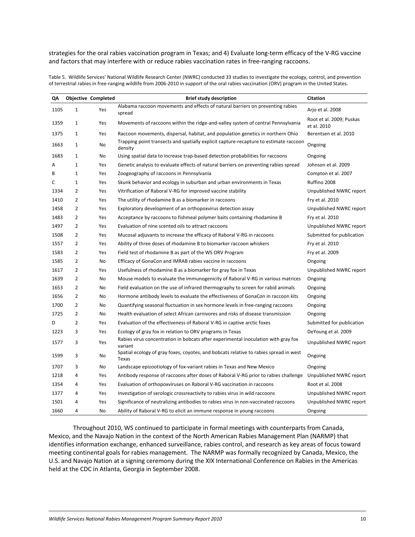strategies for the oral rabies vaccination program in Texas; and 4) Evaluate long-term efficacy of the V-RG vaccine and factors that may interfere with or reduce rabies vaccination rates in free-ranging raccoons.

Table 5. Wildlife Services' National Wildlife Research Center (NWRC) conducted 33 studies to investigate the ecology, control, and prevention of terrestrial rabies in free‐ranging wildlife from 2006‐2010 in support of the oral rabies vaccination (ORV) program in the United States.

| QΛ   |                | <b>Objective Completed</b> | <b>Brief study description</b>                                                                   | <b>Citation</b>                         |
|------|----------------|----------------------------|--------------------------------------------------------------------------------------------------|-----------------------------------------|
| 1105 | $\mathbf{1}$   | Yes                        | Alabama raccoon movements and effects of natural barriers on preventing rabies<br>spread         | Arjo et al. 2008                        |
| 1359 | $\mathbf{1}$   | Yes                        | Movements of raccoons within the ridge-and-valley system of central Pennsylvania                 | Root et al. 2009; Puskas<br>et al. 2010 |
| 1375 | $\mathbf{1}$   | Yes                        | Raccoon movements, dispersal, habitat, and population genetics in northern Ohio                  | Berentsen et al. 2010                   |
| 1663 | $\mathbf{1}$   | No                         | Trapping point transects and spatially explicit capture-recapture to estimate raccoon<br>density | Ongoing                                 |
| 1683 | $\mathbf{1}$   | No                         | Using spatial data to increase trap-based detection probabilities for raccoons                   | Ongoing                                 |
| Α    | $\mathbf{1}$   | Yes                        | Genetic analysis to evaluate effects of natural barriers on preventing rabies spread             | Johnson et al. 2009                     |
| В    | $\mathbf{1}$   | Yes                        | Zoogeography of raccoons in Pennsylvania                                                         | Compton et al. 2007                     |
| C    | $\mathbf{1}$   | Yes                        | Skunk behavior and ecology in suburban and urban environments in Texas                           | Ruffino 2008                            |
| 1334 | $\overline{2}$ | Yes                        | Vitrification of Raboral V-RG for improved vaccine stability                                     | Unpublished NWRC report                 |
| 1410 | $\overline{2}$ | Yes                        | The utility of rhodamine B as a biomarker in raccoons                                            | Fry et al. 2010                         |
| 1458 | $\overline{2}$ | Yes                        | Exploratory development of an orthopoxvirus detection assay                                      | Unpublished NWRC report                 |
| 1483 | $\overline{2}$ | Yes                        | Acceptance by raccoons to fishmeal polymer baits containing rhodamine B                          | Fry et al. 2010                         |
| 1497 | $\overline{2}$ | Yes                        | Evaluation of nine scented oils to attract raccoons                                              | Unpublished NWRC report                 |
| 1508 | $\overline{2}$ | Yes                        | Mucosal adjuvants to increase the efficacy of Raboral V-RG in raccoons                           | Submitted for publication               |
| 1557 | $\overline{2}$ | Yes                        | Ability of three doses of rhodamine B to biomarker raccoon whiskers                              | Fry et al. 2010                         |
| 1583 | $\overline{2}$ | Yes                        | Field test of rhodamine B as part of the WS ORV Program                                          | Fry et al. 2009                         |
| 1585 | $\overline{2}$ | No                         | Efficacy of GonaCon and IMRAB rabies vaccine in raccoons                                         | Ongoing                                 |
| 1617 | $\overline{2}$ | Yes                        | Usefulness of rhodamine B as a biomarker for gray fox in Texas                                   | Unpublished NWRC report                 |
| 1639 | $\overline{2}$ | No                         | Mouse models to evaluate the immunogenicity of Raboral V-RG in various matrices                  | Ongoing                                 |
| 1653 | $\overline{2}$ | No                         | Field evaluation on the use of infrared thermography to screen for rabid animals                 | Ongoing                                 |
| 1656 | $\overline{2}$ | No                         | Hormone antibody levels to evaluate the effectiveness of GonaCon in raccoon kits                 | Ongoing                                 |
| 1700 | $\overline{2}$ | No                         | Quantifying seasonal fluctuation in sex hormone levels in free-ranging raccoons                  | Ongoing                                 |
| 1725 | $\overline{2}$ | No                         | Health evaluation of select African carnivores and risks of disease transmission                 | Ongoing                                 |
| D    | $\overline{2}$ | Yes                        | Evaluation of the effectiveness of Raboral V-RG in captive arctic foxes                          | Submitted for publication               |
| 1223 | 3              | Yes                        | Ecology of gray fox in relation to ORV programs in Texas                                         | DeYoung et al. 2009                     |
| 1577 | 3              | Yes                        | Rabies virus concentration in bobcats after experimental inoculation with gray fox<br>variant    | Unpublished NWRC report                 |
| 1599 | 3              | No                         | Spatial ecology of gray foxes, coyotes, and bobcats relative to rabies spread in west<br>Texas   | Ongoing                                 |
| 1707 | 3              | <b>No</b>                  | Landscape epizootiology of fox-variant rabies in Texas and New Mexico                            | Ongoing                                 |
| 1218 | 4              | Yes                        | Antibody response of raccoons after doses of Raboral V-RG prior to rabies challenge              | Unpublished NWRC report                 |
| 1354 | 4              | Yes                        | Evaluation of orthopoxviruses on Raboral V-RG vaccination in raccoons                            | Root et al. 2008                        |
| 1377 | 4              | Yes                        | Investigation of serologic crossreactivity to rabies virus in wild raccoons                      | Unpublished NWRC report                 |
| 1501 | 4              | Yes                        | Significance of neutralizing antibodies to rabies virus in non-vaccinated raccoons               | Unpublished NWRC report                 |
| 1660 | 4              | No                         | Ability of Raboral V-RG to elicit an immune response in young raccoons                           | Ongoing                                 |

Throughout 2010, WS continued to participate in formal meetings with counterparts from Canada, Mexico, and the Navajo Nation in the context of the North American Rabies Management Plan (NARMP) that identifies information exchange, enhanced surveillance, rabies control, and research as key areas of focus toward meeting continental goals for rabies management. The NARMP was formally recognized by Canada, Mexico, the U.S. and Navajo Nation at a signing ceremony during the XIX International Conference on Rabies in the Americas held at the CDC in Atlanta, Georgia in September 2008.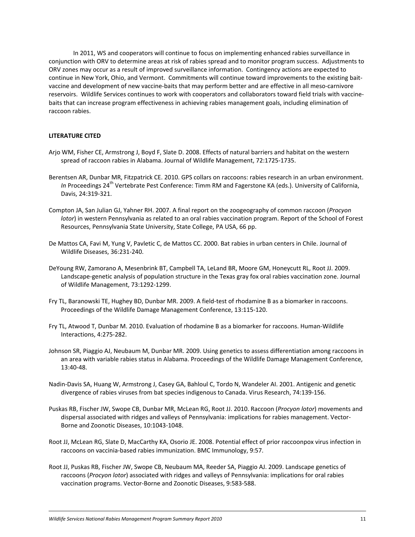In 2011, WS and cooperators will continue to focus on implementing enhanced rabies surveillance in conjunction with ORV to determine areas at risk of rabies spread and to monitor program success. Adjustments to ORV zones may occur as a result of improved surveillance information. Contingency actions are expected to continue in New York, Ohio, and Vermont. Commitments will continue toward improvements to the existing baitvaccine and development of new vaccine‐baits that may perform better and are effective in all meso‐carnivore reservoirs. Wildlife Services continues to work with cooperators and collaborators toward field trials with vaccine‐ baits that can increase program effectiveness in achieving rabies management goals, including elimination of raccoon rabies.

## **LITERATURE CITED**

- Arjo WM, Fisher CE, Armstrong J, Boyd F, Slate D. 2008. Effects of natural barriers and habitat on the western spread of raccoon rabies in Alabama. Journal of Wildlife Management, 72:1725-1735.
- Berentsen AR, Dunbar MR, Fitzpatrick CE. 2010. GPS collars on raccoons: rabies research in an urban environment. In Proceedings 24<sup>th</sup> Vertebrate Pest Conference: Timm RM and Fagerstone KA (eds.). University of California, Davis, 24:319‐321.
- Compton JA, San Julian GJ, Yahner RH. 2007. A final report on the zoogeography of common raccoon (*Procyon lotor*) in western Pennsylvania as related to an oral rabies vaccination program. Report of the School of Forest Resources, Pennsylvania State University, State College, PA USA, 66 pp.
- De Mattos CA, Favi M, Yung V, Pavletic C, de Mattos CC. 2000. Bat rabies in urban centers in Chile. Journal of Wildlife Diseases, 36:231‐240.
- DeYoung RW, Zamorano A, Mesenbrink BT, Campbell TA, LeLand BR, Moore GM, Honeycutt RL, Root JJ. 2009. Landscape‐genetic analysis of population structure in the Texas gray fox oral rabies vaccination zone. Journal of Wildlife Management, 73:1292‐1299.
- Fry TL, Baranowski TE, Hughey BD, Dunbar MR. 2009. A field‐test of rhodamine B as a biomarker in raccoons. Proceedings of the Wildlife Damage Management Conference, 13:115‐120.
- Fry TL, Atwood T, Dunbar M. 2010. Evaluation of rhodamine B as a biomarker for raccoons. Human‐Wildlife Interactions, 4:275‐282.
- Johnson SR, Piaggio AJ, Neubaum M, Dunbar MR. 2009. Using genetics to assess differentiation among raccoons in an area with variable rabies status in Alabama. Proceedings of the Wildlife Damage Management Conference, 13:40‐48.
- Nadin‐Davis SA, Huang W, Armstrong J, Casey GA, Bahloul C, Tordo N, Wandeler AI. 2001. Antigenic and genetic divergence of rabies viruses from bat species indigenous to Canada. Virus Research, 74:139‐156.
- Puskas RB, Fischer JW, Swope CB, Dunbar MR, McLean RG, Root JJ. 2010. Raccoon (*Procyon lotor*) movements and dispersal associated with ridges and valleys of Pennsylvania: implications for rabies management. Vector‐ Borne and Zoonotic Diseases, 10:1043‐1048.
- Root JJ, McLean RG, Slate D, MacCarthy KA, Osorio JE. 2008. Potential effect of prior raccoonpox virus infection in raccoons on vaccinia‐based rabies immunization. BMC Immunology, 9:57.
- Root JJ, Puskas RB, Fischer JW, Swope CB, Neubaum MA, Reeder SA, Piaggio AJ. 2009. Landscape genetics of raccoons (*Procyon lotor*) associated with ridges and valleys of Pennsylvania: implications for oral rabies vaccination programs. Vector‐Borne and Zoonotic Diseases, 9:583‐588.